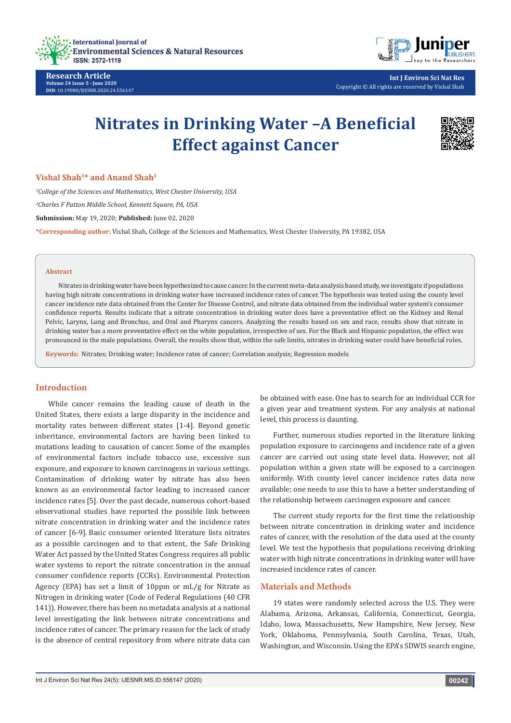

**Research Article Volume 24 Issue 5 - June 2020 DOI**: [10.19080/IJESNR.2020.24.556147](http://dx.doi.org/10.19080/IJESNR.2020.24.556147)



**Int J Environ Sci Nat Res** Copyright © All rights are reserved by Vishal Shah

# **Nitrates in Drinking Water –A Beneficial Effect against Cancer**



**Vishal Shah<sup>1</sup>\* and Anand Shah2**

*1 College of the Sciences and Mathematics, West Chester University, USA 2 Charles F Patton Middle School, Kennett Square, PA, USA* **Submission:** May 19, 2020; **Published:** June 02, 2020 **\*Corresponding author:** Vishal Shah, College of the Sciences and Mathematics, West Chester University, PA 19382, USA

#### **Abstract**

Nitrates in drinking water have been hypothesized to cause cancer. In the current meta-data analysis based study, we investigate if populations having high nitrate concentrations in drinking water have increased incidence rates of cancer. The hypothesis was tested using the county level cancer incidence rate data obtained from the Center for Disease Control, and nitrate data obtained from the individual water system's consumer confidence reports. Results indicate that a nitrate concentration in drinking water does have a preventative effect on the Kidney and Renal Pelvic, Larynx, Lung and Bronchus, and Oral and Pharynx cancers. Analyzing the results based on sex and race, results show that nitrate in drinking water has a more preventative effect on the white population, irrespective of sex. For the Black and Hispanic population, the effect was pronounced in the male populations. Overall, the results show that, within the safe limits, nitrates in drinking water could have beneficial roles.

**Keywords:** Nitrates; Drinking water; Incidence rates of cancer; Correlation analysis; Regression models

### **Introduction**

While cancer remains the leading cause of death in the United States, there exists a large disparity in the incidence and mortality rates between different states [1-4]. Beyond genetic inheritance, environmental factors are having been linked to mutations leading to causation of cancer. Some of the examples of environmental factors include tobacco use, excessive sun exposure, and exposure to known carcinogens in various settings. Contamination of drinking water by nitrate has also been known as an environmental factor leading to increased cancer incidence rates [5]. Over the past decade, numerous cohort-based observational studies have reported the possible link between nitrate concentration in drinking water and the incidence rates of cancer [6-9]. Basic consumer oriented literature lists nitrates as a possible carcinogen and to that extent, the Safe Drinking Water Act passed by the United States Congress requires all public water systems to report the nitrate concentration in the annual consumer confidence reports (CCRs). Environmental Protection Agency (EPA) has set a limit of 10ppm or mL/g for Nitrate as Nitrogen in drinking water (Code of Federal Regulations (40 CFR 141)). However, there has been no metadata analysis at a national level investigating the link between nitrate concentrations and incidence rates of cancer. The primary reason for the lack of study is the absence of central repository from where nitrate data can

be obtained with ease. One has to search for an individual CCR for a given year and treatment system. For any analysis at national level, this process is daunting.

Further, numerous studies reported in the literature linking population exposure to carcinogens and incidence rate of a given cancer are carried out using state level data. However, not all population within a given state will be exposed to a carcinogen uniformly. With county level cancer incidence rates data now available; one needs to use this to have a better understanding of the relationship between carcinogen exposure and cancer.

The current study reports for the first time the relationship between nitrate concentration in drinking water and incidence rates of cancer, with the resolution of the data used at the county level. We test the hypothesis that populations receiving drinking water with high nitrate concentrations in drinking water will have increased incidence rates of cancer.

## **Materials and Methods**

19 states were randomly selected across the U.S. They were Alabama, Arizona, Arkansas, California, Connecticut, Georgia, Idaho, Iowa, Massachusetts, New Hampshire, New Jersey, New York, Oklahoma, Pennsylvania, South Carolina, Texas, Utah, Washington, and Wisconsin. Using the EPA's SDWIS search engine,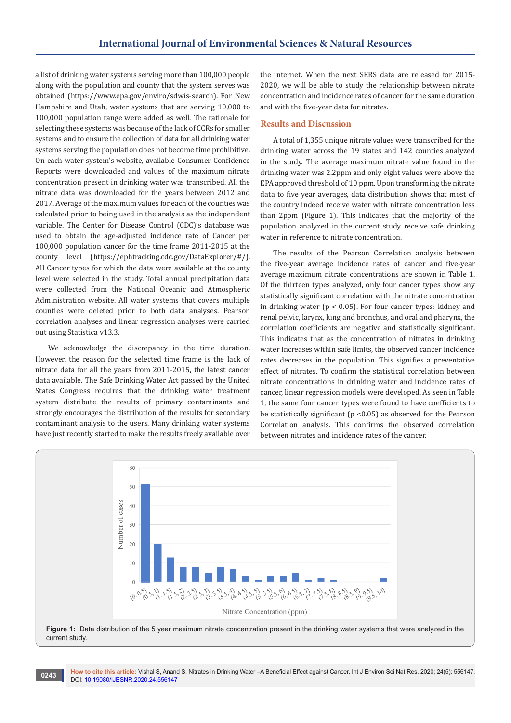a list of drinking water systems serving more than 100,000 people along with the population and county that the system serves was obtained (<https://www.epa.gov/enviro/sdwis-search>). For New Hampshire and Utah, water systems that are serving 10,000 to 100,000 population range were added as well. The rationale for selecting these systems was because of the lack of CCRs for smaller systems and to ensure the collection of data for all drinking water systems serving the population does not become time prohibitive. On each water system's website, available Consumer Confidence Reports were downloaded and values of the maximum nitrate concentration present in drinking water was transcribed. All the nitrate data was downloaded for the years between 2012 and 2017. Average of the maximum values for each of the counties was calculated prior to being used in the analysis as the independent variable. The Center for Disease Control (CDC)'s database was used to obtain the age-adjusted incidence rate of Cancer per 100,000 population cancer for the time frame 2011-2015 at the county level ([https://ephtracking.cdc.gov/DataExplorer/#/](https://ephtracking.cdc.gov/DataExplorer/%23/)). All Cancer types for which the data were available at the county level were selected in the study. Total annual precipitation data were collected from the National Oceanic and Atmospheric Administration website. All water systems that covers multiple counties were deleted prior to both data analyses. Pearson correlation analyses and linear regression analyses were carried out using Statistica v13.3.

We acknowledge the discrepancy in the time duration. However, the reason for the selected time frame is the lack of nitrate data for all the years from 2011-2015, the latest cancer data available. The Safe Drinking Water Act passed by the United States Congress requires that the drinking water treatment system distribute the results of primary contaminants and strongly encourages the distribution of the results for secondary contaminant analysis to the users. Many drinking water systems have just recently started to make the results freely available over the internet. When the next SERS data are released for 2015- 2020, we will be able to study the relationship between nitrate concentration and incidence rates of cancer for the same duration and with the five-year data for nitrates.

#### **Results and Discussion**

A total of 1,355 unique nitrate values were transcribed for the drinking water across the 19 states and 142 counties analyzed in the study. The average maximum nitrate value found in the drinking water was 2.2ppm and only eight values were above the EPA approved threshold of 10 ppm. Upon transforming the nitrate data to five year averages, data distribution shows that most of the country indeed receive water with nitrate concentration less than 2ppm (Figure 1). This indicates that the majority of the population analyzed in the current study receive safe drinking water in reference to nitrate concentration.

The results of the Pearson Correlation analysis between the five-year average incidence rates of cancer and five-year average maximum nitrate concentrations are shown in Table 1. Of the thirteen types analyzed, only four cancer types show any statistically significant correlation with the nitrate concentration in drinking water ( $p < 0.05$ ). For four cancer types: kidney and renal pelvic, larynx, lung and bronchus, and oral and pharynx, the correlation coefficients are negative and statistically significant. This indicates that as the concentration of nitrates in drinking water increases within safe limits, the observed cancer incidence rates decreases in the population. This signifies a preventative effect of nitrates. To confirm the statistical correlation between nitrate concentrations in drinking water and incidence rates of cancer, linear regression models were developed. As seen in Table 1, the same four cancer types were found to have coefficients to be statistically significant ( $p$  <0.05) as observed for the Pearson Correlation analysis. This confirms the observed correlation between nitrates and incidence rates of the cancer.



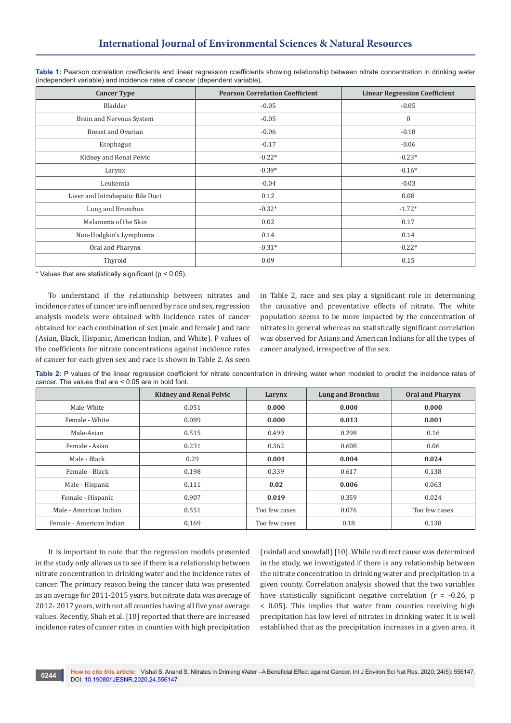| <b>Cancer Type</b>               | <b>Pearson Correlation Coefficient</b> | <b>Linear Regression Coefficient</b> |  |
|----------------------------------|----------------------------------------|--------------------------------------|--|
| Bladder                          | $-0.05$                                | $-0.05$                              |  |
| Brain and Nervous System         | $-0.05$                                | $\mathbf{0}$                         |  |
| Breast and Ovarian               | $-0.06$                                | $-0.18$                              |  |
| Esophagus                        | $-0.17$                                | $-0.06$                              |  |
| Kidney and Renal Pelvic          | $-0.22*$                               | $-0.23*$                             |  |
| Larynx                           | $-0.39*$                               | $-0.16*$                             |  |
| Leukemia                         | $-0.04$                                | $-0.03$                              |  |
| Liver and Intrahepatic Bile Duct | 0.12                                   | 0.08                                 |  |
| Lung and Bronchus                | $-0.32*$                               | $-1.72*$                             |  |
| Melanoma of the Skin             | 0.02                                   | 0.17                                 |  |
| Non-Hodgkin's Lymphoma           | 0.14                                   | 0.14                                 |  |
| Oral and Pharynx                 | $-0.31*$                               | $-0.22*$                             |  |
| Thyroid                          | 0.09                                   | 0.15                                 |  |

**Table 1:** Pearson correlation coefficients and linear regression coefficients showing relationship between nitrate concentration in drinking water (independent variable) and incidence rates of cancer (dependent variable).

 $*$  Values that are statistically significant ( $p < 0.05$ ).

To understand if the relationship between nitrates and incidence rates of cancer are influenced by race and sex, regression analysis models were obtained with incidence rates of cancer obtained for each combination of sex (male and female) and race (Asian, Black, Hispanic, American Indian, and White). P values of the coefficients for nitrate concentrations against incidence rates of cancer for each given sex and race is shown in Table 2. As seen

in Table 2, race and sex play a significant role in determining the causative and preventative effects of nitrate. The white population seems to be more impacted by the concentration of nitrates in general whereas no statistically significant correlation was observed for Asians and American Indians for all the types of cancer analyzed, irrespective of the sex.

Table 2: P values of the linear regression coefficient for nitrate concentration in drinking water when modeled to predict the incidence rates of cancer. The values that are < 0.05 are in bold font.

|                          | <b>Kidney and Renal Pelvic</b> | Larynx        | <b>Lung and Bronchus</b> | <b>Oral and Pharynx</b> |
|--------------------------|--------------------------------|---------------|--------------------------|-------------------------|
| Male-White               | 0.051                          | 0.000         | 0.000                    | 0.000                   |
| Female - White           | 0.089                          | 0.000         | 0.013                    | 0.001                   |
| Male-Asian               | 0.515                          | 0.499         | 0.298                    | 0.16                    |
| Female - Asian           | 0.231                          | 0.362         | 0.608                    | 0.06                    |
| Male - Black             | 0.29                           | 0.001         | 0.004                    | 0.024                   |
| Female - Black           | 0.198                          | 0.339         | 0.617                    | 0.138                   |
| Male - Hispanic          | 0.111                          | 0.02          | 0.006                    | 0.063                   |
| Female - Hispanic        | 0.907                          | 0.019         | 0.359                    | 0.024                   |
| Male - American Indian   | 0.551                          | Too few cases | 0.076                    | Too few cases           |
| Female - American Indian | 0.169                          | Too few cases | 0.18                     | 0.138                   |

It is important to note that the regression models presented in the study only allows us to see if there is a relationship between nitrate concentration in drinking water and the incidence rates of cancer. The primary reason being the cancer data was presented as an average for 2011-2015 years, but nitrate data was average of 2012- 2017 years, with not all counties having all five year average values. Recently, Shah et al. [10] reported that there are increased incidence rates of cancer rates in counties with high precipitation

(rainfall and snowfall) [10]. While no direct cause was determined in the study, we investigated if there is any relationship between the nitrate concentration in drinking water and precipitation in a given county. Correlation analysis showed that the two variables have statistically significant negative correlation ( $r = -0.26$ ,  $p = 0.26$ < 0.05). This implies that water from counties receiving high precipitation has low level of nitrates in drinking water. It is well established that as the precipitation increases in a given area, it